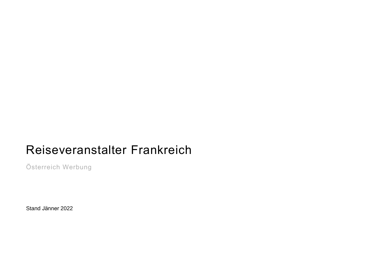## Reiseveranstalter Frankreich

Österreich Werbung

Stand Jänner 2022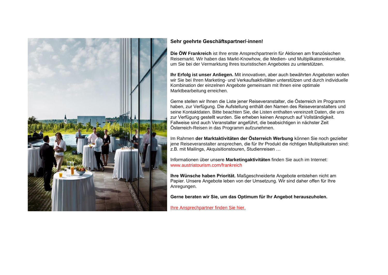

## **Sehr geehrte Geschäftspartner/-innen!**

**Die ÖW Frankreich** ist Ihre erste Ansprechpartnerin für Aktionen am französischen Reisemarkt. Wir haben das Markt-Knowhow, die Medien- und Multiplikatorenkontakte, um Sie bei der Vermarktung Ihres touristischen Angebotes zu unterstützen.

**Ihr Erfolg ist unser Anliegen.** Mit innovativen, aber auch bewährten Angeboten wollen wir Sie bei Ihren Marketing- und Verkaufsaktivitäten unterstützen und durch individuelle Kombination der einzelnen Angebote gemeinsam mit Ihnen eine optimale Marktbearbeitung erreichen.

Gerne stellen wir Ihnen die Liste jener Reiseveranstalter, die Österreich im Programm haben, zur Verfügung. Die Aufstellung enthält den Namen des Reiseveranstalters und seine Kontaktdaten. Bitte beachten Sie, die Listen enthalten vereinzelt Daten, die uns zur Verfügung gestellt wurden. Sie erheben keinen Anspruch auf Vollständigkeit. Fallweise sind auch Veranstalter angeführt, die beabsichtigen in nächster Zeit Österreich-Reisen in das Programm aufzunehmen.

Im Rahmen **der Marktaktivitäten der Österreich Werbung** können Sie noch gezielter jene Reiseveranstalter ansprechen, die für Ihr Produkt die richtigen Multiplikatoren sind: z.B. mit Mailings, Akquisitionstouren, Studienreisen …

Informationen über unsere **Marketingaktivitäten** finden Sie auch im Internet: www.austriatourism.com/frankreich

**Ihre Wünsche haben Priorität.** Maßgeschneiderte Angebote entstehen nicht am Papier. Unsere Angebote leben von der Umsetzung. Wir sind daher offen für Ihre Anregungen.

**Gerne beraten wir Sie, um das Optimum für Ihr Angebot herauszuholen.**

[Ihre Ansprechpartner finden Sie hier.](https://www.austriatourism.com/maerkte/team-beratung-und-kooperation/)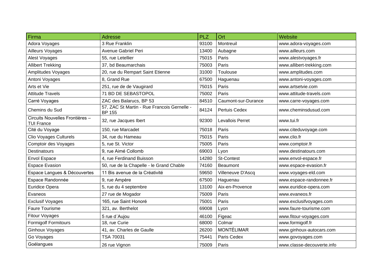| Firma                                                | <b>Adresse</b>                                               | <b>PLZ</b> | Ort                 | Website                    |
|------------------------------------------------------|--------------------------------------------------------------|------------|---------------------|----------------------------|
| Adora Voyages                                        | 3 Rue Franklin                                               | 93100      | Montreuil           | www.adora-voyages.com      |
| Ailleurs Voyages                                     | Avenue Gabriel Peri                                          | 13400      | Aubagne             | www.ailleurs.com           |
| Alest Voyages                                        | 55, rue Letellier                                            | 75015      | Paris               | www.alestvoyages.fr        |
| <b>Allibert Trekking</b>                             | 37, bd Beaumarchais                                          | 75003      | Paris               | www.allibert-trekking.com  |
| Amplitudes Voyages                                   | 20, rue du Rempart Saint Etienne                             | 31000      | Toulouse            | www.amplitudes.com         |
| Antoni Voyages                                       | 8, Grand Rue                                                 | 67500      | Haguenau            | www.antoni-voyages.com     |
| Arts et Vie                                          | 251, rue de de Vaugirard                                     | 75015      | Paris               | www.artsetvie.com          |
| <b>Attitude Travels</b>                              | 71 BD DE SEBASTOPOL                                          | 75002      | Paris               | www.attitude-travels.com   |
| Carré Voyages                                        | ZAC des Balarucs, BP 53                                      | 84510      | Caumont-sur-Durance | www.carre-voyages.com      |
| Chemins du Sud                                       | 57, ZAC St Martin - Rue Francois Gernelle -<br><b>BP 155</b> | 84124      | Pertuis Cedex       | www.cheminsdusud.com       |
| Circuits Nouvelles Frontières -<br><b>TUI France</b> | 32, rue Jacques Ibert                                        | 92300      | Levallois Perret    | www.tui.fr                 |
| Cité du Voyage                                       | 150, rue Marcadet                                            | 75018      | Paris               | www.citeduvoyage.com       |
| <b>Clio Voyages Culturels</b>                        | 34, rue du Hameau                                            | 75015      | Paris               | www.clio.fr                |
| Comptoir des Voyages                                 | 5, rue St. Victor                                            | 75005      | Paris               | www.comptoir.fr            |
| <b>Destinatours</b>                                  | 9, rue Aimé Collomb                                          | 69003      | Lyon                | www.destinatours.com       |
| <b>Envol Espace</b>                                  | 4, rue Ferdinand Buisson                                     | 14280      | <b>St-Contest</b>   | www.envol-espace.fr        |
| <b>Espace Evasion</b>                                | 50, rue de la Chapelle - le Grand Chable                     | 74160      | Beaumont            | www.espace-evasion.fr      |
| Espace Langues & Découvertes                         | 11 Bis avenue de la Créativité                               | 59650      | Villeneuve D'Ascq   | www.voyages-eld.com        |
| Espace Randonnée                                     | 9, rue Ampère                                                | 67500      | Haguenau            | www.espace-randonnee.fr    |
| Euridice Opera                                       | 5, rue du 4 septembre                                        | 13100      | Aix-en-Provence     | www.euridice-opera.com     |
| Evaneos                                              | 27 rue de Mogador                                            | 75009      | Paris               | www.evaneos.fr             |
| <b>Exclusif Voyages</b>                              | 165, rue Saint Honoré                                        | 75001      | Paris               | www.exclusifvoyages.com    |
| <b>Faure Tourisme</b>                                | 321, av. Berthelot                                           | 69008      | Lyon                | www.faure-tourisme.com     |
| Fitour Voyages                                       | 5 rue d'Aujou                                                | 46100      | Figeac              | www.fitour-voyages.com     |
| <b>Formigolf Formitours</b>                          | 18, rue Curie                                                | 68000      | Colmar              | www.formigolf.fr           |
| <b>Ginhoux Voyages</b>                               | 41, av. Charles de Gaulle                                    | 26200      | <b>MONTÉLIMAR</b>   | www.ginhoux-autocars.com   |
| Go Voyages                                           | TSA 70031                                                    | 75441      | Paris Cedex         | www.govoyages.com          |
| Goélangues                                           | 26 rue Vignon                                                | 75009      | Paris               | www.classe-decouverte.info |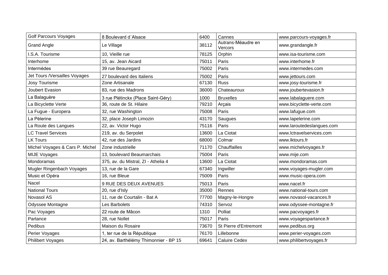| <b>Golf Parcours Voyages</b>    | 8 Boulevard d'Alsace                  | 6400  | Cannes                        | www.parcours-voyages.fr   |
|---------------------------------|---------------------------------------|-------|-------------------------------|---------------------------|
| <b>Grand Angle</b>              | Le Village                            | 38112 | Autrans-Méaudre en<br>Vercors | www.grandangle.fr         |
| I.S.A. Tourisme                 | 10, Vieille rue                       | 78125 | Orphin                        | www.isa-tourisme.com      |
| Interhome                       | 15, av. Jean Aicard                   | 75011 | Paris                         | www.interhome.fr          |
| Intermèdes                      | 39 rue Beauregard                     | 75002 | Paris                         | www.intermedes.com        |
| Jet Tours / Versailles Voyages  | 27 boulevard des Italiens             | 75002 | Paris                         | www.jettours.com          |
| Josy Tourisme                   | Zone Artisanale                       | 67130 | <b>Russ</b>                   | www.josy-tourisme.fr      |
| Joubert Evasion                 | 83, rue des Madrons                   | 36000 | Chateauroux                   | www.joubertevasion.fr     |
| La Balaguère                    | 3 rue Plétinckx (Place Saint-Géry)    | 1000  | <b>Bruxelles</b>              | www.labalaguere.com       |
| La Bicyclette Verte             | 36, route de St. Hilaire              | 79210 | Arçais                        | www.bicyclette-verte.com  |
| La Fugue - Europera             | 32, rue Washington                    | 75008 | Paris                         | www.lafugue.com           |
| La Pèlerine                     | 32, place Joseph Limozin              | 43170 | Saugues                       | www.lapelerine.com        |
| La Route des Langues            | 22, av. Victor Hugo                   | 75116 | Paris                         | www.laroutedeslangues.com |
| <b>LC Travel Services</b>       | 219, av. du Serpolet                  | 13600 | La Ciotat                     | www.lctravelservices.com  |
| <b>LK Tours</b>                 | 42, rue des Jardins                   | 68000 | Colmar                        | www.lktours.fr            |
| Michel Voyages & Cars P. Michel | Zone industrielle                     | 71170 | Chauffailles                  | www.michelvoyages.fr      |
| <b>MIJE Voyages</b>             | 13, boulevard Beaumarchais            | 75004 | Paris                         | www.mije.com              |
| Mondoramas                      | 375, av. du Mistral, ZI - Athelia 4   | 13600 | La Ciotat                     | www.mondoramas.com        |
| Mugler Ringenbach Voyages       | 13, rue de la Gare                    | 67340 | Ingwiller                     | www.voyages-mugler.com    |
| Music et Opéra                  | 16, rue Bleue                         | 75009 | Paris                         | www.music-opera.com       |
| Nacel                           | 9 RUE DES DEUX AVENUES                | 75013 | Paris                         | www.nacel.fr              |
| <b>National Tours</b>           | 20, rue d'Isly                        | 35000 | Rennes                        | www.national-tours.com    |
| Novasol AS                      | 11, rue de Courtalin - Bat A          | 77700 | Magny-le-Hongre               | www.novasol-vacances.fr   |
| Odyssee Montagne                | Les Barbolets                         | 74310 | Servoz                        | www.odyssee-montagne.fr   |
| Pac Voyages                     | 22 route de Mâcon                     | 1310  | Polliat                       | www.pacvoyages.fr         |
| Partance                        | 28, rue Nollet                        | 75017 | Paris                         | www.voyagespartance.fr    |
| Pedibus                         | Maison du Rosaire                     | 73670 | St Pierre d'Entremont         | www.pedibus.org           |
| Perier Voyages                  | 1, ter rue de la République           | 76170 | Lillebonne                    | www.perier-voyages.com    |
| Philibert Voyages               | 24, av. Barthélémy Thimonnier - BP 15 | 69641 | <b>Caluire Cedex</b>          | www.philibertvoyages.fr   |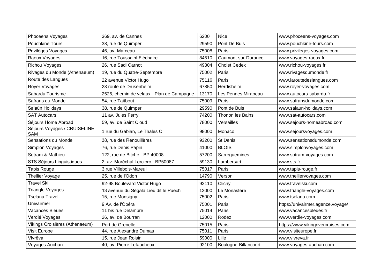| Phoceens Voyages                           | 369, av. de Cannes                        | 6200  | <b>Nice</b>          | www.phoceens-voyages.com           |
|--------------------------------------------|-------------------------------------------|-------|----------------------|------------------------------------|
| <b>Pouchkine Tours</b>                     | 38, rue de Quimper                        | 29590 | Pont De Buis         | www.pouchkine-tours.com            |
| Privilèges Voyages                         | 46, av. Marceau                           | 75008 | Paris                | www.privileges-voyages.com         |
| Raoux Voyages                              | 16, rue Toussaint Fléchaire               | 84510 | Caumont-sur-Durance  | www.voyages-raoux.fr               |
| Richou Voyages                             | 26, rue Sadi Carnot                       | 49304 | <b>Cholet Cedex</b>  | www.richou-voyages.fr              |
| Rivages du Monde (Athenaeum)               | 19, rue du Quatre-Septembre               | 75002 | Paris                | www.rivagesdumonde.fr              |
| Route des Langues                          | 22 avenue Victor Hugo                     | 75116 | Paris                | www.laroutedeslangues.com          |
| Royer Voyages                              | 23 route de Drusenheim                    | 67850 | Herrlisheim          | www.royer-voyages.com              |
| Sabardu Tourisme                           | 2526, chemin de velaux - Plan de Campagne | 13170 | Les Pennes Mirabeau  | www.autocars-sabardu.fr            |
| Safrans du Monde                           | 54, rue Taitbout                          | 75009 | Paris                | www.safransdumonde.com             |
| Salaün Holidays                            | 38, rue de Quimper                        | 29590 | Pont de Buis         | www.salaun-holidays.com            |
| <b>SAT Autocars</b>                        | 11 av. Jules Ferry                        | 74200 | Thonon les Bains     | www.sat-autocars.com               |
| Séjours Home Abroad                        | 59, av. de Saint Cloud                    | 78000 | Versailles           | www.sejours-homeabroad.com         |
| Séjours Voyages / CRUISELINE<br><b>SAM</b> | 1 rue du Gabian, Le Thales C              | 98000 | Monaco               | www.sejoursvoyages.com             |
| Sensations du Monde                        | 38, rue des Renouillères                  | 93200 | St.Denis             | www.sensationsdumonde.com          |
| Simplon Voyages                            | 76, rue Denis Papin                       | 41000 | <b>BLOIS</b>         | www.simplonvoyages.com             |
| Sotram & Mathieu                           | 122, rue de Bitche - BP 40008             | 57200 | Sarreguemines        | www.sotram-voyages.com             |
| STS Séjours Linguistiques                  | 2, av. Maréchal Lerclerc - BP50087        | 59130 | Lambersart           | www.sts.fr                         |
| <b>Tapis Rouge</b>                         | 3 rue Villebois-Mareuil                   | 75017 | Paris                | www.tapis-rouge.fr                 |
| Thellier Voyage                            | 25, rue de l'Odon                         | 14790 | Verson               | www.thelliervoyages.com            |
| <b>Travel Ski</b>                          | 92-98 Boulevard Victor Hugo               | 92110 | Clichy               | www.travelski.com                  |
| <b>Triangle Voyages</b>                    | 13 avenue du Ségala Lieu dit le Puech     | 12000 | Le Monastère         | www.triangle-voyages.com           |
| <b>Tselana Travel</b>                      | 15, rue Monsigny                          | 75002 | Paris                | www.tselana.com                    |
| Univairmer                                 | 9 Av. de l'Opéra                          | 75001 | Paris                | https://univairmer.agence.voyage/  |
| <b>Vacances Bleues</b>                     | 11 bis rue Delambre                       | 75014 | Paris                | www.vacancesbleues.fr              |
| Verdié Voyages                             | 26, av. de Bourran                        | 12000 | Rodez                | www.verdie-voyages.com             |
| Vikings Croisières (Athenaeum)             | Port de Grenelle                          | 75015 | Paris                | https://www.vikingrivercruises.com |
| Visit Europe                               | 44, rue Alexandre Dumas                   | 75011 | Paris                | www.visiteurope.fr                 |
| Vivrêva                                    | 15, rue Jean Roisin                       | 59000 | Lille                | www.vivreva.fr                     |
| Voyages Auchan                             | 40, av. Pierre Lefaucheux                 | 92100 | Boulogne-Billancourt | www.voyages-auchan.com             |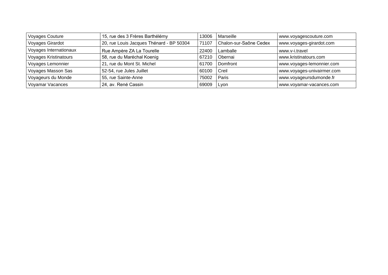| <b>Voyages Couture</b>       | 15, rue des 3 Frères Barthélémy          | 13006 | Marseille              | www.voyagescouture.com     |
|------------------------------|------------------------------------------|-------|------------------------|----------------------------|
| Voyages Girardot             | 20, rue Louis Jacques Thénard - BP 50304 | 71107 | Chalon-sur-Saône Cedex | www.voyages-girardot.com   |
| Voyages Internationaux       | Rue Ampère ZA La Tourelle                | 22400 | Lamballe               | l www.v-i.travel           |
| <b>Voyages Kristinatours</b> | 58, rue du Maréchal Koenig               | 67210 | Obernai                | www.kristinatours.com      |
| Voyages Lemonnier            | 21, rue du Mont St. Michel               | 61700 | Domfront               | www.voyages-lemonnier.com  |
| Voyages Masson Sas           | 52-54, rue Jules Juillet                 | 60100 | Creil                  | www.voyages-univairmer.com |
| Voyageurs du Monde           | 55, rue Sainte-Anne                      | 75002 | Paris                  | www.voyageursdumonde.fr    |
| Voyamar Vacances             | 24, av. René Cassin                      | 69009 | I Lyon                 | www.voyamar-vacances.com   |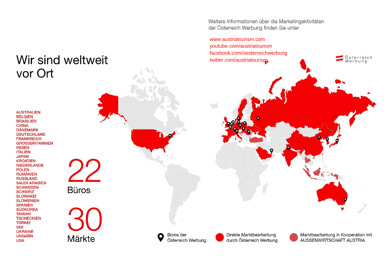Weitere Informationen über die Marketingaktivitäten der Österreich Werbung finden Sie unter

[www.austriatourism.com](http://www.austriatourism.com/) [youtube.com/austriatourism](http://www.youtube.com/austriatourism) [facebook.com/oesterreichwerbung](http://www.facebook.com/oesterreichwerbung)  [twitter.com/austriatourism](http://twitter.com/austriatourism)

**AUSTRALIEN BELGIEN BRASILIEN CHINA DÄNEMARK DEUTSCHLAND FRANKREICH GROSSBRITANNIEN INDIEN ITALIEN JAPAN KROATIEN NIEDERLANDE POLEN RUMÄNIEN RUSSLAND SAUDI ARABIEN SCHWEDEN SCHWEIZ SLOWAKEI SLOWENIEN SPANIEN SÜDKOREA TAIWAN TSCHECHIEN TÜRKEI VAE UKRAINE UNGARN USA** 

vor Ort

22 **Büros** 

Wir sind weltweit

1 Märkte

Büros der Österreich Werbung

Direkte Marktbearbeitung durch Österreich Werbung Marktbearbeitung in Kooperation mit AUSSENWIRTSCHAFT AUSTRIA

Österreich<br>Werbung